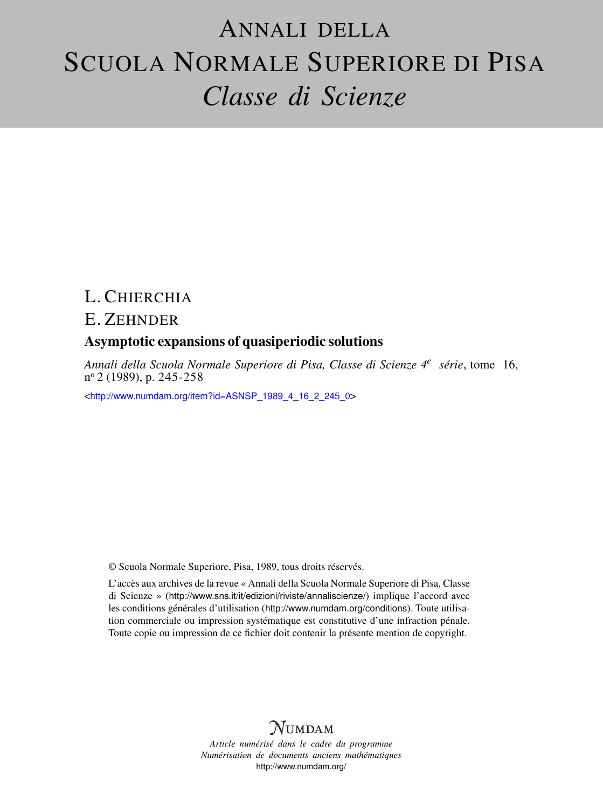# ANNALI DELLA SCUOLA NORMALE SUPERIORE DI PISA *Classe di Scienze*

## L. CHIERCHIA

## E. ZEHNDER

### Asymptotic expansions of quasiperiodic solutions

*Annali della Scuola Normale Superiore di Pisa, Classe di Scienze 4<sup>e</sup> série*, tome 16, n <sup>o</sup> 2 (1989), p. 245-258

<[http://www.numdam.org/item?id=ASNSP\\_1989\\_4\\_16\\_2\\_245\\_0](http://www.numdam.org/item?id=ASNSP_1989_4_16_2_245_0)>

© Scuola Normale Superiore, Pisa, 1989, tous droits réservés.

L'accès aux archives de la revue « Annali della Scuola Normale Superiore di Pisa, Classe di Scienze » (<http://www.sns.it/it/edizioni/riviste/annaliscienze/>) implique l'accord avec les conditions générales d'utilisation (<http://www.numdam.org/conditions>). Toute utilisation commerciale ou impression systématique est constitutive d'une infraction pénale. Toute copie ou impression de ce fichier doit contenir la présente mention de copyright.

# $N$ UMDAM

*Article numérisé dans le cadre du programme Numérisation de documents anciens mathématiques* <http://www.numdam.org/>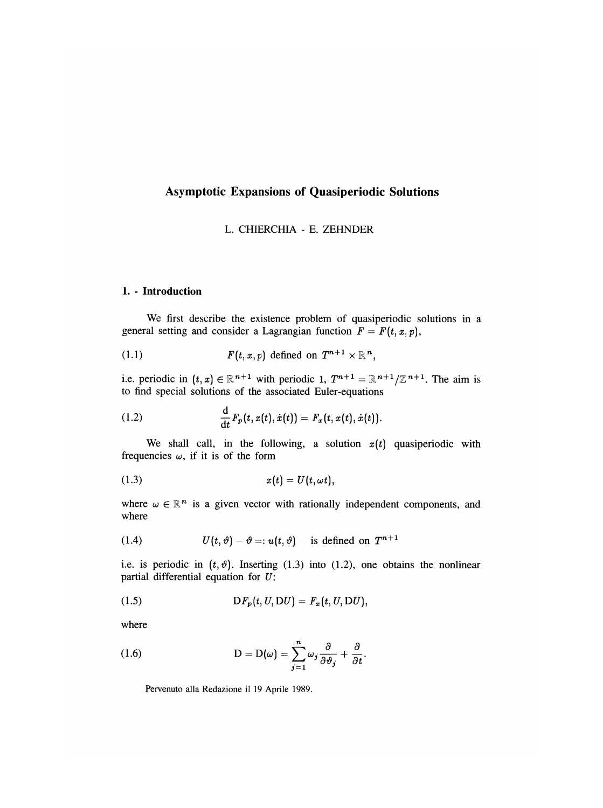#### Asymptotic Expansions of Quasiperiodic Solutions

#### L. CHIERCHIA - E. ZEHNDER

#### 1. - Introduction

We first describe the existence problem of quasiperiodic solutions in a general setting and consider a Lagrangian function  $F = F(t, x, p)$ ,

$$
(1.1) \tF(t,x,p) \text{ defined on } T^{n+1} \times \mathbb{R}^n,
$$

i.e. periodic in  $(t, x) \in \mathbb{R}^{n+1}$  with periodic 1,  $T^{n+1} = \mathbb{R}^{n+1}/\mathbb{Z}^{n+1}$ . The aim is to find special solutions of the associated Euler-equations

(1.2) 
$$
\frac{d}{dt} F_p(t, x(t), \dot{x}(t)) = F_x(t, x(t), \dot{x}(t)).
$$

We shall call, in the following, a solution  $x(t)$  quasiperiodic with frequencies  $\omega$ , if it is of the form

$$
(1.3) \t x(t) = U(t, \omega t),
$$

where  $\omega \in \mathbb{R}^n$  is a given vector with rationally independent components, and where

(1.4) 
$$
U(t, \vartheta) - \vartheta =: u(t, \vartheta) \text{ is defined on } T^{n+1}
$$

i.e. is periodic in  $(t, \vartheta)$ . Inserting (1.3) into (1.2), one obtains the nonlinear partial differential equation for U:

$$
(1.5) \tDF_p(t, U, DU) = F_x(t, U, DU),
$$

where

(1.6) 
$$
D = D(\omega) = \sum_{j=1}^{n} \omega_j \frac{\partial}{\partial \vartheta_j} + \frac{\partial}{\partial t}.
$$

Pervenuto alla Redazione il 19 Aprile 1989.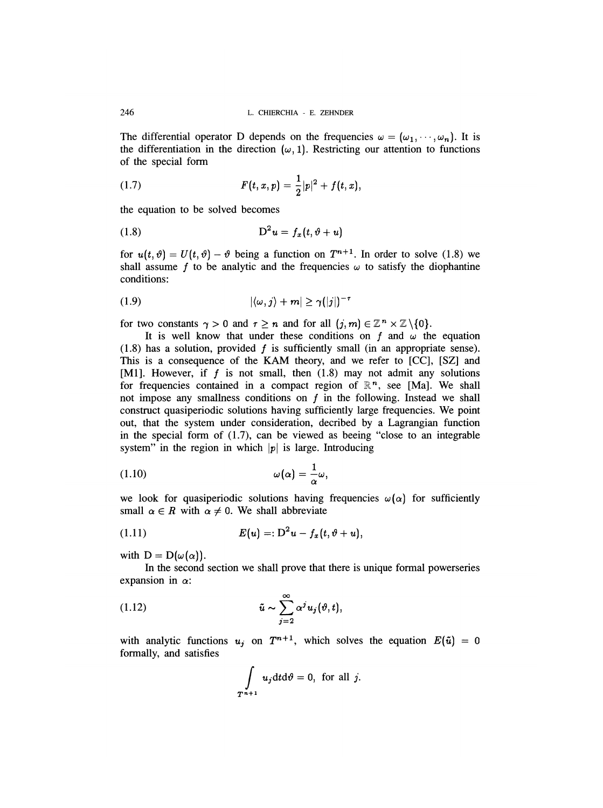The differential operator D depends on the frequencies  $\omega = (\omega_1, \dots, \omega_n)$ . It is the differentiation in the direction  $(\omega, 1)$ . Restricting our attention to functions of the special form

(1.7) 
$$
F(t,x,p) = \frac{1}{2}|p|^2 + f(t,x),
$$

the equation to be solved becomes

$$
(1.8) \t\t\tD2 u = fx(t, \vartheta + u)
$$

for  $u(t, \vartheta) = U(t, \vartheta) - \vartheta$  being a function on  $T^{n+1}$ . In order to solve (1.8) we shall assume f to be analytic and the frequencies  $\omega$  to satisfy the diophantine conditions:

$$
|\langle \omega, j \rangle + m| \geq \gamma (|j|)^{-\gamma}
$$

for two constants  $\gamma > 0$  and  $\tau \ge n$  and for all  $(j, m) \in \mathbb{Z}^n \times \mathbb{Z} \setminus \{0\}$ .

It is well know that under these conditions on f and  $\omega$  the equation  $(1.8)$  has a solution, provided f is sufficiently small (in an appropriate sense). This is a consequence of the KAM theory, and we refer to [CC], [SZ] and [M1]. However, if  $f$  is not small, then  $(1.8)$  may not admit any solutions for frequencies contained in a compact region of  $\mathbb{R}^n$ , see [Ma]. We shall not impose any smallness conditions on  $f$  in the following. Instead we shall construct quasiperiodic solutions having sufficiently large frequencies. We point out, that the system under consideration, decribed by a Lagrangian function in the special form of (1.7), can be viewed as beeing "close to an integrable system" in the region in which  $|p|$  is large. Introducing

$$
\omega(\alpha) = \frac{1}{\alpha}\omega,
$$

we look for quasiperiodic solutions having frequencies  $\omega(\alpha)$  for sufficiently small  $\alpha \in R$  with  $\alpha \neq 0$ . We shall abbreviate

$$
(1.11) \t\t\t\t E(u) =: D2 u - fx(t, \vartheta + u),
$$

with  $D = D(\omega(\alpha)).$ 

In the second section we shall prove that there is unique formal powerseries expansion in  $\alpha$ :

(1.12) 
$$
\tilde{u} \sim \sum_{j=2}^{\infty} \alpha^j u_j(\vartheta, t),
$$

with analytic functions  $u_j$  on  $T^{n+1}$ , which solves the equation  $E(\tilde{u}) = 0$ formally, and satisfies

$$
\int_{T^{n+1}} u_j dt d\theta = 0, \text{ for all } j.
$$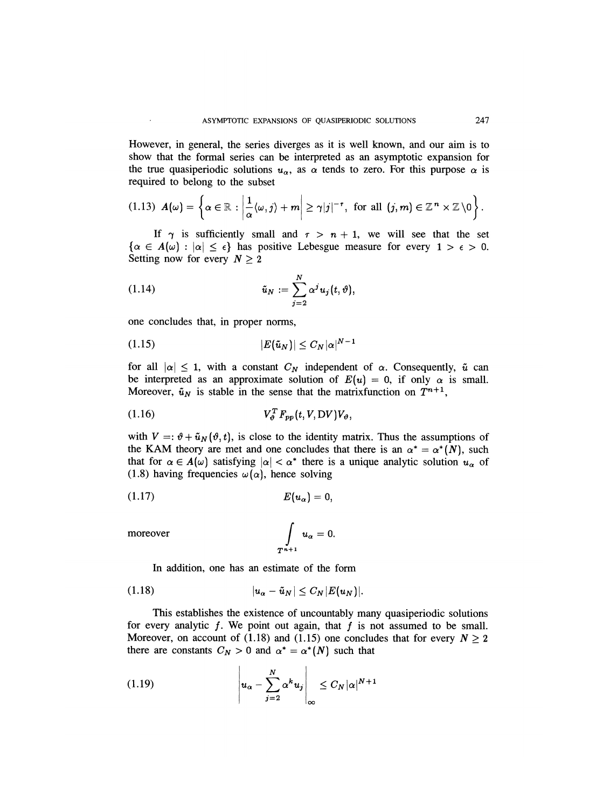However, in general, the series diverges as it is well known, and our aim is to show that the formal series can be interpreted as an asymptotic expansion for the true quasiperiodic solutions  $u_{\alpha}$ , as  $\alpha$  tends to zero. For this purpose  $\alpha$  is required to belong to the subset

$$
(1.13) \ \mathbf{A}(\omega)=\left\{\alpha\in\mathbb{R}: \left|\frac{1}{\alpha}\langle\omega,j\rangle+m\right|\geq \gamma|j|^{-\tau}, \text{ for all } (j,m)\in\mathbb{Z}^n\times\mathbb{Z}\setminus 0\right\}.
$$

If  $\gamma$  is sufficiently small and  $\tau > n + 1$ , we will see that the set  $\{\alpha \in A(\omega): |\alpha| \leq \epsilon\}$  has positive Lebesgue measure for every  $1 > \epsilon > 0$ . Setting now for every  $N \geq 2$ 

(1.14) 
$$
\tilde{u}_N := \sum_{j=2}^N \alpha^j u_j(t, \vartheta),
$$

one concludes that, in proper norms,

$$
(1.15) \t\t\t |E(\tilde{u}_N)| \leq C_N |\alpha|^{N-1}
$$

for all  $|\alpha| \leq 1$ , with a constant  $C_N$  independent of  $\alpha$ . Consequently,  $\tilde{u}$  can be interpreted as an approximate solution of  $E(u) = 0$ , if only  $\alpha$  is small. Moreover,  $\tilde{u}_N$  is stable in the sense that the matrixfunction on  $T^{n+1}$ ,

$$
(1.16) \tV_{\vartheta}^T F_{pp}(t, V, DV) V_{\vartheta},
$$

with  $V =: \vartheta + \tilde{u}_N(\vartheta, t)$ , is close to the identity matrix. Thus the assumptions of the KAM theory are met and one concludes that there is an  $\alpha^* = \alpha^*(N)$ , such that for  $\alpha \in A(\omega)$  satisfying  $|\alpha| < \alpha^*$  there is a unique analytic solution  $u_{\alpha}$  of (1.8) having frequencies  $\omega(\alpha)$ , hence solving

$$
(1.17) \t\t\t\t E(u_\alpha)=0,
$$

moreover

$$
\int\limits_{T^{n+1}} u_{\alpha}=0.
$$

In addition, one has an estimate of the form

$$
(1.18) \t\t |u_{\alpha}-\tilde{u}_N|\leq C_N |E(u_N)|.
$$

This establishes the existence of uncountably many quasiperiodic solutions for every analytic  $f$ . We point out again, that  $f$  is not assumed to be small. Moreover, on account of (1.18) and (1.15) one concludes that for every  $N \ge 2$ there are constants  $C_N > 0$  and  $\alpha^* = \alpha^*(N)$  such that

$$
(1.19) \t\t\t  $u_{\alpha} - \sum_{j=2}^{N} \alpha^{k} u_{j} \Big|_{\infty} \leq C_{N} |\alpha|^{N+1}$
$$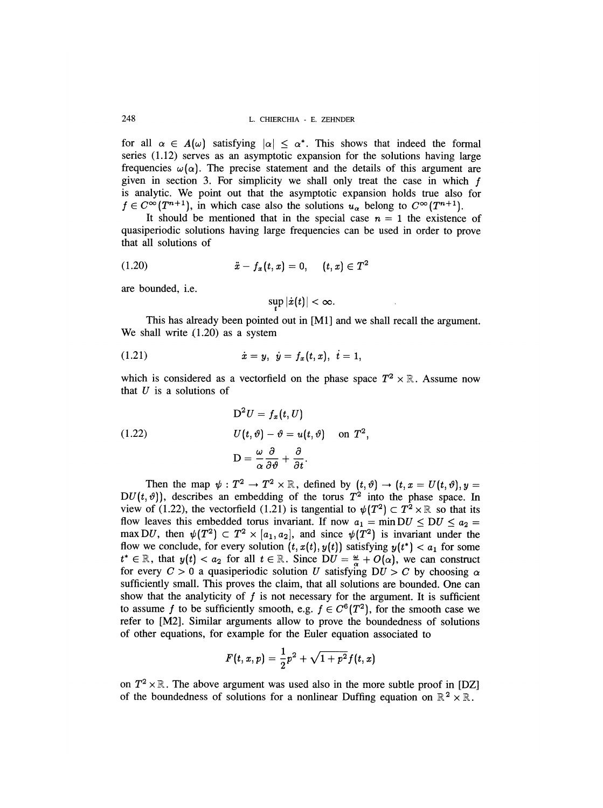for all  $\alpha \in A(\omega)$  satisfying  $|\alpha| < \alpha^*$ . This shows that indeed the formal series (1.12) serves as an asymptotic expansion for the solutions having large frequencies  $\omega(\alpha)$ . The precise statement and the details of this argument are given in section 3. For simplicity we shall only treat the case in which  $f$ is analytic. We point out that the asymptotic expansion holds true also for  $f \in C^{\infty}(T^{n+1})$ , in which case also the solutions  $u_{\alpha}$  belong to  $C^{\infty}(T^{n+1})$ .

It should be mentioned that in the special case  $n = 1$  the existence of quasiperiodic solutions having large frequencies can be used in order to prove that all solutions of

$$
(1.20) \t\t \ddot{x} - f_x(t, x) = 0, \t (t, x) \in T^2
$$

are bounded, i.e.

$$
\sup|\dot{x}(t)|<\infty.
$$

This has already been pointed out in [M1] and we shall recall the argument. We shall write (1.20) as a system

(1.21) 
$$
\dot{x} = y, \ \dot{y} = f_x(t, x), \ \dot{t} = 1,
$$

which is considered as a vectorfield on the phase space  $T^2 \times \mathbb{R}$ . Assume now that  $U$  is a solutions of

(1.22) 
$$
D^2 U = f_x(t, U)
$$

$$
U(t, \vartheta) - \vartheta = u(t, \vartheta) \text{ on } T^2,
$$

$$
D = \frac{\omega}{\alpha} \frac{\partial}{\partial \vartheta} + \frac{\partial}{\partial t}.
$$

Then the map  $\psi : T^2 \to T^2 \times \mathbb{R}$ , defined by  $(t, \vartheta) \to (t, x = U(t, \vartheta), y =$  $DU(t, \vartheta)$ , describes an embedding of the torus  $T^2$  into the phase space. In view of (1.22), the vectorfield (1.21) is tangential to  $\psi(T^2) \subset T^2 \times \mathbb{R}$  so that its flow leaves this embedded torus invariant. If now  $a_1 = \min DU \le DU \le a_2$ max DU, then  $\psi(T^2) \subset T^2 \times [a_1, a_2]$ , and since  $\psi(T^2)$  is invariant under the flow we conclude, for every solution  $(t, x(t), y(t))$  satisfying  $y(t^*) < a_1$  for some  $t^* \in \mathbb{R}$ , that  $y(t) < a_2$  for all  $t \in \mathbb{R}$ . Since  $DU = \frac{\omega}{\alpha} + O(\alpha)$ , we can construct for every  $C > 0$  a quasiperiodic solution U satisfying  $DU > C$  by choosing a sufficiently small. This proves the claim, that all solutions are bounded. One can show that the analyticity of  $f$  is not necessary for the argument. It is sufficient to assume f to be sufficiently smooth, e.g.  $f \in C^{6}(T^{2})$ , for the smooth case we refer to [M2]. Similar arguments allow to prove the boundedness of solutions of other equations, for example for the Euler equation associated to

$$
F(t,x,p) = \frac{1}{2}p^2 + \sqrt{1+p^2}f(t,x)
$$

on  $T^2 \times \mathbb{R}$ . The above argument was used also in the more subtle proof in [DZ] of the boundedness of solutions for a nonlinear Duffing equation on  $\mathbb{R}^2 \times \mathbb{R}$ .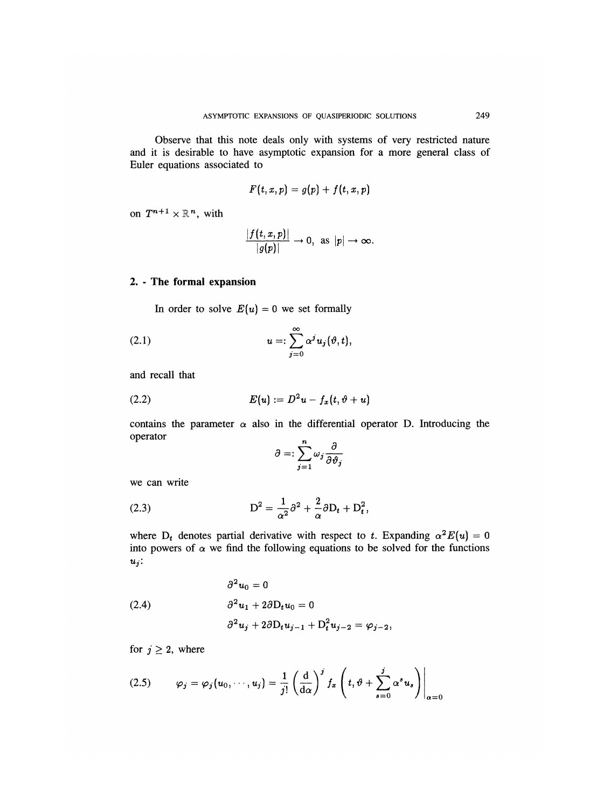Observe that this note deals only with systems of very restricted nature and it is desirable to have asymptotic expansion for a more general class of Euler equations associated to

$$
F(t,x,p)=g(p)+f(t,x,p)
$$

on  $T^{n+1} \times \mathbb{R}^n$ , with

$$
\frac{|f(t,x,p)|}{|g(p)|}\to 0, \text{ as } |p|\to\infty.
$$

#### 2. - The formal expansion

In order to solve  $E(u) = 0$  we set formally

(2.1) 
$$
u = \sum_{j=0}^{\infty} \alpha^j u_j(\vartheta, t),
$$

and recall that

$$
(2.2) \tE(u) := D^2u - f_x(t, \vartheta + u)
$$

contains the parameter  $\alpha$  also in the differential operator D. Introducing the operator

$$
\partial =: \sum_{j=1}^{n} \omega_j \frac{\partial}{\partial \vartheta_j}
$$

we can write

(2.3) 
$$
D^2 = \frac{1}{\alpha^2} \partial^2 + \frac{2}{\alpha} \partial D_t + D_t^2,
$$

where  $D_t$  denotes partial derivative with respect to t. Expanding  $\alpha^2 E(u) = 0$ into powers of  $\alpha$  we find the following equations to be solved for the functions  $u_j$ :

(2.4) 
$$
\begin{aligned}\n\partial^2 u_0 &= 0\\ \n\partial^2 u_1 + 2\partial D_t u_0 &= 0\\ \n\partial^2 u_j + 2\partial D_t u_{j-1} + D_t^2 u_{j-2} &= \varphi_{j-2},\n\end{aligned}
$$

for  $j \geq 2$ , where

$$
(2.5) \qquad \varphi_j = \varphi_j(u_0, \cdots, u_j) = \frac{1}{j!} \left( \frac{\mathrm{d}}{\mathrm{d}\alpha} \right)^j f_x \left( t, \vartheta + \sum_{s=0}^j \alpha^s u_s \right) \Big|_{\alpha=0}
$$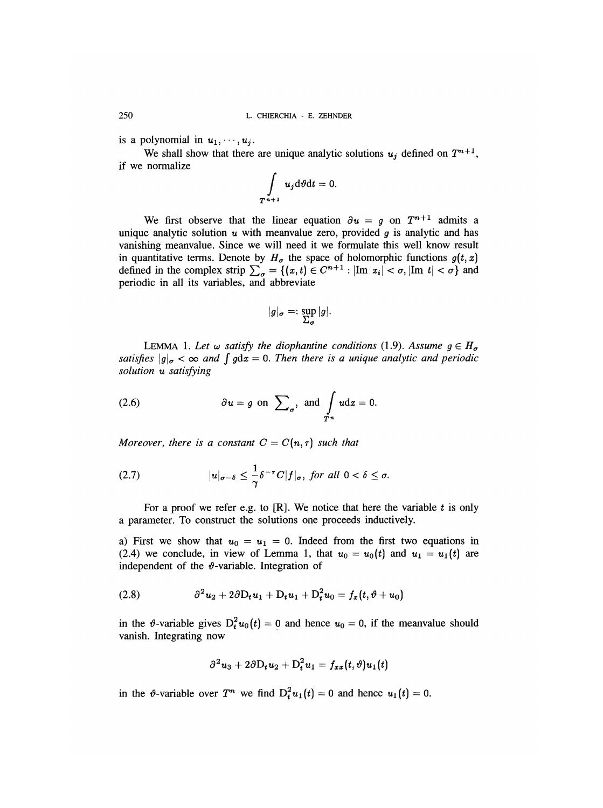is a polynomial in  $u_1, \dots, u_j$ .

We shall show that there are unique analytic solutions  $u_j$  defined on  $T^{n+1}$ , if we normalize

$$
\int\limits_{T^{n+1}} u_j \mathrm{d} \vartheta \mathrm{d} t = 0
$$

We first observe that the linear equation  $\partial u = g$  on  $T^{n+1}$  admits a unique analytic solution  $u$  with meanvalue zero, provided  $q$  is analytic and has vanishing meanvalue. Since we will need it we formulate this well know result in quantitative terms. Denote by  $H_{\sigma}$  the space of holomorphic functions  $g(t, x)$ defined in the complex strip  $\sum_{\sigma} = \{(x, t) \in C^{n+1} : |\text{Im } x_i| < \sigma, |\text{Im } t| < \sigma \}$  and periodic in all its variables, and abbreviate

$$
|g|_{\sigma} =: \sup_{\Sigma_{\sigma}} |g|.
$$

LEMMA 1. Let  $\omega$  satisfy the diophantine conditions (1.9). Assume  $g \in H_{\sigma}$ satisfies  $|g|_{\sigma} < \infty$  and  $\int g dx = 0$ . Then there is a unique analytic and periodic solution u satisfying

(2.6) 
$$
\partial u = g
$$
 on  $\sum_{\sigma}$ , and  $\int_{T^n} u dx = 0$ 

Moreover, there is a constant  $C = C(n, \tau)$  such that

(2.7) 
$$
|u|_{\sigma-\delta} \leq \frac{1}{\gamma} \delta^{-\tau} C |f|_{\sigma}, \text{ for all } 0 < \delta \leq \sigma
$$

For a proof we refer e.g. to  $[R]$ . We notice that here the variable  $t$  is only a parameter. To construct the solutions one proceeds inductively.

a) First we show that  $u_0 = u_1 = 0$ . Indeed from the first two equations in (2.4) we conclude, in view of Lemma 1, that  $u_0 = u_0(t)$  and  $u_1 = u_1(t)$  are independent of the  $\vartheta$ -variable. Integration of

$$
(2.8) \qquad \qquad \partial^2 u_2 + 2\partial D_t u_1 + D_t u_1 + D_t^2 u_0 = f_x(t, \vartheta + u_0)
$$

in the  $\theta$ -variable gives  $D_t^2 u_0(t) = 0$  and hence  $u_0 = 0$ , if the meanvalue should vanish. Integrating now

$$
\partial^2 u_3 + 2 \partial D_t u_2 + D_t^2 u_1 = f_{xx}(t, \vartheta) u_1(t)
$$

in the  $\theta$ -variable over  $T^n$  we find  $D_t^2 u_1(t) = 0$  and hence  $u_1(t) = 0$ .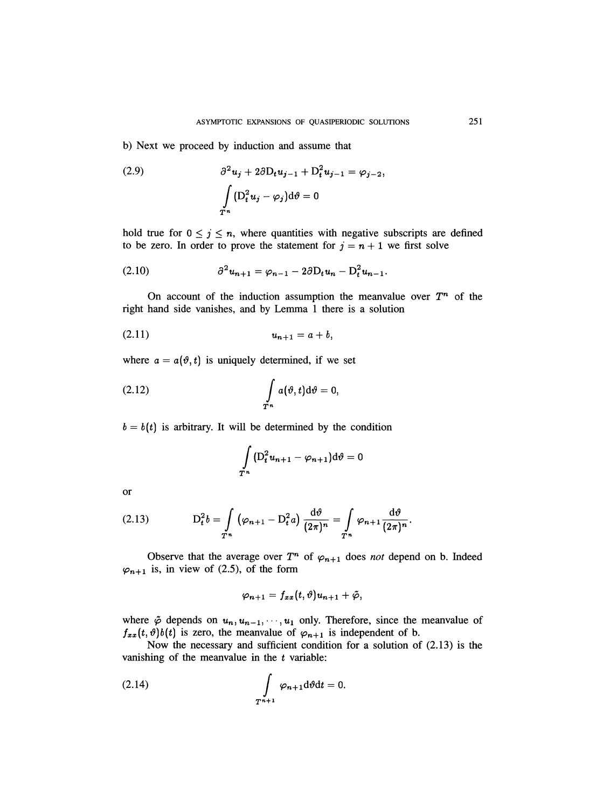b) Next we proceed by induction and assume that

(2.9) 
$$
\partial^2 u_j + 2 \partial D_t u_{j-1} + D_t^2 u_{j-1} = \varphi_{j-2},
$$

$$
\int_{T^n} (D_t^2 u_j - \varphi_j) d\theta = 0
$$

hold true for  $0 \le j \le n$ , where quantities with negative subscripts are defined to be zero. In order to prove the statement for  $j = n + 1$  we first solve

(2.10) 
$$
\partial^2 u_{n+1} = \varphi_{n-1} - 2\partial D_t u_n - D_t^2 u_{n-1}.
$$

On account of the induction assumption the meanvalue over  $T<sup>n</sup>$  of the right hand side vanishes, and by Lemma 1 there is a solution

$$
(2.11) \t\t\t  $u_{n+1} = a + b,$
$$

where  $a = a(\vartheta, t)$  is uniquely determined, if we set

(2.12) 
$$
\int_{T^n} a(\vartheta, t) d\vartheta = 0,
$$

 $b = b(t)$  is arbitrary. It will be determined by the condition

$$
\int_{T^n} \left( \mathcal{D}_t^2 u_{n+1} - \varphi_{n+1} \right) d\vartheta = 0
$$

or

(2.13) 
$$
D_t^2 b = \int_{T^n} (\varphi_{n+1} - D_t^2 a) \frac{d\vartheta}{(2\pi)^n} = \int_{T^n} \varphi_{n+1} \frac{d\vartheta}{(2\pi)^n}.
$$

Observe that the average over  $T^n$  of  $\varphi_{n+1}$  does not depend on b. Indeed  $\varphi_{n+1}$  is, in view of (2.5), of the form

$$
\varphi_{n+1}=f_{xx}(t,\vartheta)u_{n+1}+\tilde{\varphi},
$$

where  $\tilde{\varphi}$  depends on  $u_n, u_{n-1}, \dots, u_1$  only. Therefore, since the meanvalue of  $f_{xx}(t, \theta)b(t)$  is zero, the meanvalue of  $\varphi_{n+1}$  is independent of b.

Now the necessary and sufficient condition for a solution of (2.13) is the vanishing of the meanvalue in the  $t$  variable:

$$
\int_{T^{n+1}} \varphi_{n+1} \mathrm{d}\vartheta \mathrm{d}t = 0.
$$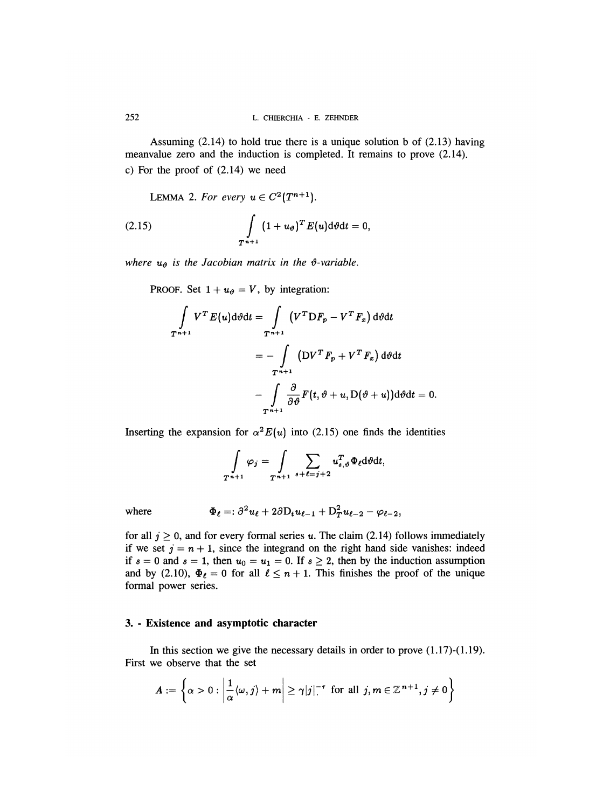Assuming (2.14) to hold true there is a unique solution b of (2.13) having meanvalue zero and the induction is completed. It remains to prove (2.14). c) For the proof of (2.14) we need

LEMMA 2. For every  $u \in C^2(T^{n+1})$ .

(2.15) 
$$
\int_{T^{n+1}} (1+u_{\theta})^T E(u) \mathrm{d}\theta \mathrm{d}t = 0,
$$

where  $u_{\vartheta}$  is the Jacobian matrix in the  $\vartheta$ -variable.

PROOF. Set  $1 + u_{\vartheta} = V$ , by integration:

$$
\int_{T^{n+1}} V^T E(u) \mathrm{d} \vartheta \mathrm{d} t = \int_{T^{n+1}} (V^T \mathrm{D} F_p - V^T F_x) \mathrm{d} \vartheta \mathrm{d} t
$$
\n
$$
= - \int_{T^{n+1}} (\mathrm{D} V^T F_p + V^T F_x) \mathrm{d} \vartheta \mathrm{d} t
$$
\n
$$
- \int_{T^{n+1}} \frac{\partial}{\partial \vartheta} F(t, \vartheta + u, \mathrm{D}(\vartheta + u)) \mathrm{d} \vartheta \mathrm{d} t = 0.
$$

Inserting the expansion for  $\alpha^2 E(u)$  into (2.15) one finds the identities

$$
\int_{T^{n+1}} \varphi_j = \int_{T^{n+1}} \sum_{s+\ell=j+2} u_{s,\vartheta}^T \Phi_\ell d\vartheta dt,
$$

where

$$
\Phi_{\ell}=:\partial^2 u_{\ell}+2\partial D_tu_{\ell-1}+D_T^2u_{\ell-2}-\varphi_{\ell-2},
$$

for all  $j \geq 0$ , and for every formal series u. The claim (2.14) follows immediately if we set  $j = n + 1$ , since the integrand on the right hand side vanishes: indeed if  $s = 0$  and  $s = 1$ , then  $u_0 = u_1 = 0$ . If  $s \ge 2$ , then by the induction assumption and by (2.10),  $\Phi_{\ell} = 0$  for all  $\ell \leq n + 1$ . This finishes the proof of the unique formal power series.

#### 3. - Existence and asymptotic character

In this section we give the necessary details in order to prove  $(1.17)-(1.19)$ . First we observe that the set

$$
A := \left\{ \alpha > 0 : \left| \frac{1}{\alpha} \langle \omega, j \rangle + m \right| \geq \gamma |j|^{-\tau} \text{ for all } j, m \in \mathbb{Z}^{n+1}, j \neq 0 \right\}
$$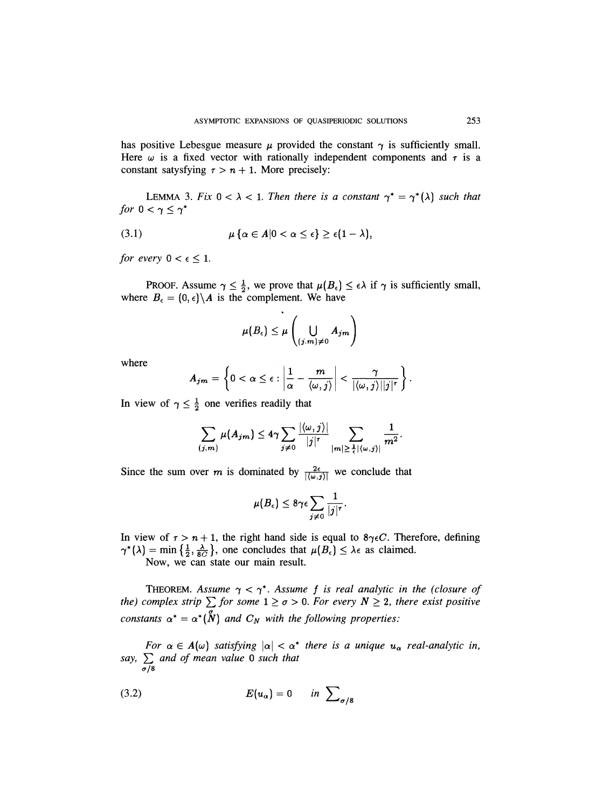has positive Lebesgue measure  $\mu$  provided the constant  $\gamma$  is sufficiently small. Here  $\omega$  is a fixed vector with rationally independent components and  $\tau$  is a constant satysfying  $r > n + 1$ . More precisely:

LEMMA 3. Fix  $0 < \lambda < 1$ . Then there is a constant  $\gamma^* = \gamma^*(\lambda)$  such that for  $0 < \gamma \leq \gamma^*$ 

$$
(3.1) \hspace{1cm} \mu\left\{\alpha \in A | 0 < \alpha \leq \epsilon\right\} \geq \epsilon(1-\lambda),
$$

for every  $0 < \epsilon \leq 1$ .

PROOF. Assume  $\gamma \leq \frac{1}{2}$ , we prove that  $\mu(B_{\epsilon}) \leq \epsilon \lambda$  if  $\gamma$  is sufficiently small, where  $B_{\epsilon} = (0, \epsilon) \backslash A$  is the complement. We have

$$
\mu(B_{\epsilon}) \leq \mu\left(\bigcup_{(j,m)\neq 0} A_{jm}\right)
$$

where

$$
A_{jm} = \left\{0 < \alpha \leq \epsilon : \left|\frac{1}{\alpha} - \frac{m}{\langle \omega, j \rangle} \right| < \frac{\gamma}{|\langle \omega, j \rangle| |j|^\tau} \right\}.
$$

In view of  $\gamma \leq \frac{1}{2}$  one verifies readily that

$$
\sum_{(j,m)}\mu(A_{jm})\leq 4\gamma\sum_{j\neq 0}\frac{|\langle\omega,j\rangle|}{|j|^{\tau}}\sum_{|m|\geq \frac{1}{\epsilon}|\langle\omega,j\rangle|}\frac{1}{m^2}.
$$

Since the sum over m is dominated by  $\frac{2\epsilon}{|\langle \omega, j \rangle|}$  we conclude that

$$
\mu(B_\epsilon)\leq 8\gamma\epsilon\sum_{j\neq 0}\frac{1}{|j|^\tau}.
$$

In view of  $\tau > n + 1$ , the right hand side is equal to  $8\gamma \epsilon C$ . Therefore, defining  $\gamma^*(\lambda) = \min\left\{\frac{1}{2}, \frac{\lambda}{8C}\right\}$ , one concludes that  $\mu(B_\epsilon) \leq \lambda \epsilon$  as claimed.

Now, we can state our main result.

THEOREM. Assume  $\gamma < \gamma^*$ . Assume f is real analytic in the (closure of the) complex strip  $\sum$  for some  $1 \ge \sigma > 0$ . For every  $N \ge 2$ , there exist positive constants  $\alpha^* = \alpha^* (\overset{\circ}{N})$  and  $C_N$  with the following properties:

For  $\alpha \in A(\omega)$  satisfying  $|\alpha| < \alpha^*$  there is a unique  $u_\alpha$  real-analytic in, say,  $\sum_{\sigma/8}$  and of mean value 0 such that

$$
(3.2) \t\t\t E(u_{\alpha}) = 0 \t\t in \t\t \sum_{\sigma/8}
$$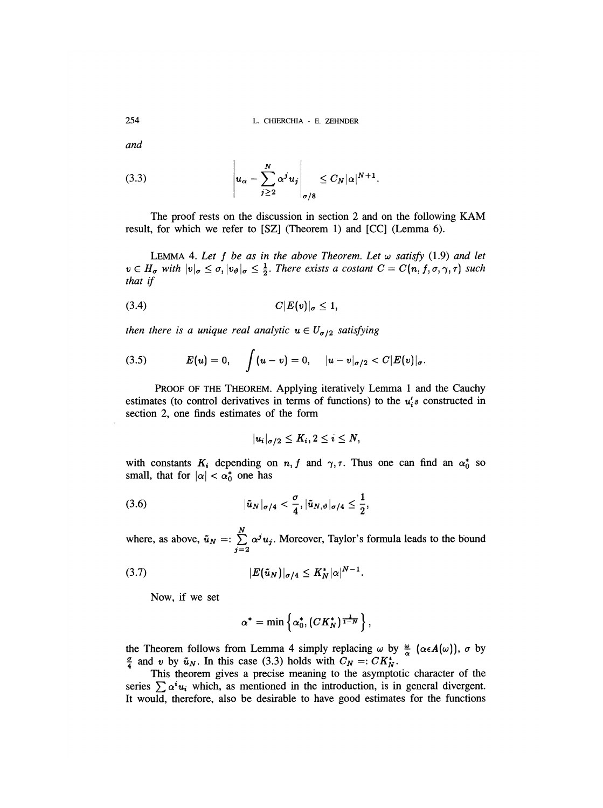L. CHIERCHIA - E. ZEHNDER

and

(3.3) 
$$
\left| u_{\alpha} - \sum_{j\geq 2}^{N} \alpha^{j} u_{j} \right|_{\sigma/8} \leq C_{N} |\alpha|^{N+1}.
$$

The proof rests on the discussion in section 2 and on the following KAM result, for which we refer to [SZ] (Theorem 1) and [CC] (Lemma 6).

LEMMA 4. Let  $f$  be as in the above Theorem. Let  $\omega$  satisfy (1.9) and let  $v \in H_{\sigma}$  with  $|v|_{\sigma} \leq \sigma, |v_{\vartheta}|_{\sigma} \leq \frac{1}{2}$ . There exists a costant  $C = C(n, f, \sigma, \gamma, \tau)$  such that if

$$
(3.4) \tC|E(v)|_{\sigma} \leq 1,
$$

then there is a unique real analytic  $u \in U_{\sigma/2}$  satisfying

(3.5) 
$$
E(u) = 0, \quad \int (u - v) = 0, \quad |u - v|_{\sigma/2} < C |E(v)|_{\sigma}.
$$

PROOF OF THE THEOREM. Applying iteratively Lemma 1 and the Cauchy estimates (to control derivatives in terms of functions) to the  $u_i$ 's constructed in section 2, one finds estimates of the form

$$
|u_i|_{\sigma/2}\leq K_i, 2\leq i\leq N,
$$

with constants  $K_i$  depending on  $n, f$  and  $\gamma, \tau$ . Thus one can find an  $\alpha_0^*$  so small, that for  $|\alpha| < \alpha_0^*$  one has

(3.6) 
$$
|\tilde{u}_N|_{\sigma/4} < \frac{\sigma}{4}, |\tilde{u}_{N,\vartheta}|_{\sigma/4} \leq \frac{1}{2},
$$

where, as above,  $\tilde{u}_N =: \sum_{j=2}^N \alpha^j u_j$ . Moreover, Taylor's formula leads to the bound

(3.7) 
$$
|E(\tilde{u}_N)|_{\sigma/4} \leq K_N^* |\alpha|^{N-1}.
$$

Now, if we set

$$
\alpha^* = \min \left\{ \alpha_0^*, (CK_N^*)^{\frac{1}{1-N}} \right\},\,
$$

the Theorem follows from Lemma 4 simply replacing  $\omega$  by  $\frac{\omega}{\alpha}$  ( $\alpha \in A(\omega)$ ),  $\sigma$  by  $\frac{\sigma}{4}$  and v by  $\tilde{u}_N$ . In this case (3.3) holds with  $C_N =: C K_N^*$ .

This theorem gives a precise meaning to the asymptotic character of the series  $\sum \alpha^{i} u_{i}$  which, as mentioned in the introduction, is in general divergent. It would, therefore, also be desirable to have good estimates for the functions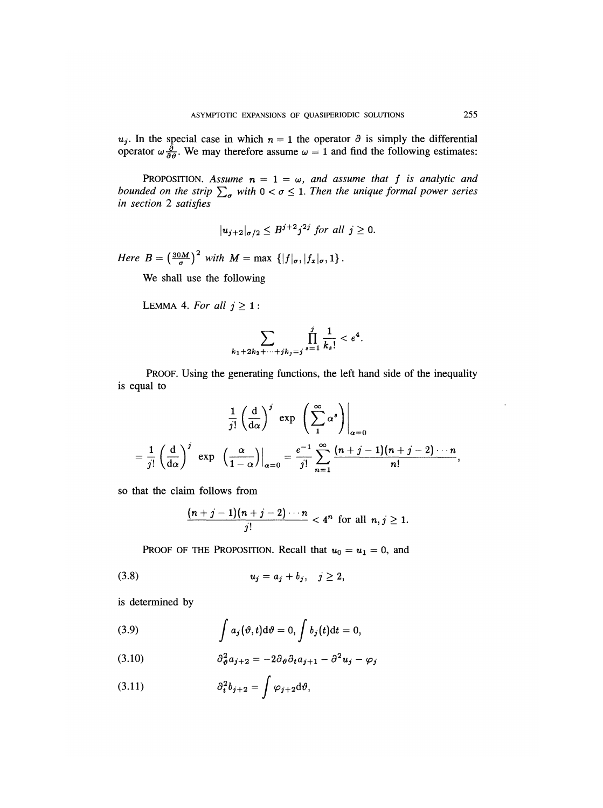In the special case in which  $n = 1$  the operator  $\partial$  is simply the differential operator  $\omega \frac{\partial}{\partial \theta}$ . We may therefore assume  $\omega = 1$  and find the following estimates:

PROPOSITION. Assume  $n = 1 = \omega$ , and assume that f is analytic and bounded on the strip  $\sum_{\sigma}$  with  $0 < \sigma \leq 1$ . Then the unique formal power series in section 2 satisfies

$$
|u_{j+2}|_{\sigma/2} \leq B^{j+2}j^{2j} \text{ for all } j \geq 0.
$$

Here  $B = \left(\frac{30M}{\sigma}\right)^2$  with  $M = \max \{ |f|_{\sigma}, |f_x|_{\sigma}, 1 \}.$ 

We shall use the following

LEMMA 4. For all 
$$
j \geq 1
$$
:

$$
\sum_{k_1+2k_2+\cdots+jk_j=j}\prod_{s=1}^j\frac{1}{k_s!}<\frac{e^4}{2}.
$$

PROOF. Using the generating functions, the left hand side of the inequality is equal to

$$
\frac{1}{j!} \left(\frac{d}{d\alpha}\right)^j \exp\left(\sum_{1}^{\infty} \alpha^s\right)\Big|_{\alpha=0}
$$
  
= 
$$
\frac{1}{j!} \left(\frac{d}{d\alpha}\right)^j \exp\left(\frac{\alpha}{1-\alpha}\right)\Big|_{\alpha=0} = \frac{e^{-1}}{j!} \sum_{n=1}^{\infty} \frac{(n+j-1)(n+j-2)\cdots n}{n!}
$$

so that the claim follows from

$$
\frac{(n+j-1)(n+j-2)\cdots n}{j!} < 4^n \text{ for all } n, j \geq 1.
$$

PROOF OF THE PROPOSITION. Recall that  $u_0 = u_1 = 0$ , and

is determined by

(3.9) 
$$
\int a_j(\vartheta,t) d\vartheta = 0, \int b_j(t) dt = 0,
$$

$$
(3.10) \t\t\t\t\t\partial_{\theta}^2 a_{j+2} = -2\partial_{\theta}\partial_t a_{j+1} - \partial^2 u_j - \varphi_j
$$

$$
(3.11) \t\t\t\t\t\partial_t^2 b_{j+2} = \int \varphi_{j+2} d\vartheta,
$$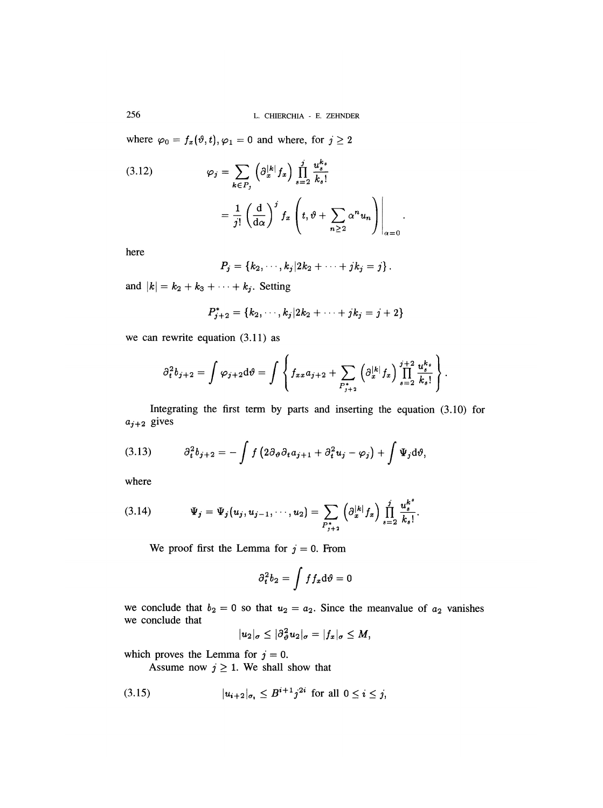L. CHIERCHIA - E. ZEHNDER

where  $\varphi_0 = f_x(\vartheta, t), \varphi_1 = 0$  and where, for  $j \ge 2$ 

(3.12) 
$$
\varphi_j = \sum_{k \in P_j} \left( \partial_x^{|k|} f_x \right) \prod_{s=2}^j \frac{u_s^{k_s}}{k_s!}
$$

$$
= \frac{1}{j!} \left( \frac{d}{d\alpha} \right)^j f_x \left( t, \vartheta + \sum_{n \ge 2} \alpha^n u_n \right) \Big|_{\alpha=0}
$$

here

$$
P_j = \{k_2, \cdots, k_j | 2k_2 + \cdots + jk_j = j \}.
$$

and  $|k| = k_2 + k_3 + \cdots + k_j$ . Setting

$$
P_{j+2}^* = \{k_2, \cdots, k_j | 2k_2 + \cdots + jk_j = j+2\}
$$

we can rewrite equation (3.11) as

$$
\partial_t^2 b_{j+2} = \int \varphi_{j+2} \mathrm{d}\vartheta = \int \left\{ f_{xx} a_{j+2} + \sum_{P_{j+2}^*} \left( \partial_x^{|k|} f_x \right) \prod_{s=2}^{j+2} \frac{u_s^{k_s}}{k_s!} \right\}.
$$

Integrating the first term by parts and inserting the equation (3.10) for  $a_{j+2}$  gives

$$
(3.13) \t\t \partial_t^2 b_{j+2} = - \int f\left(2\partial_{\theta}\partial_t a_{j+1} + \partial_t^2 u_j - \varphi_j\right) + \int \Psi_j d\theta,
$$

where

(3.14) 
$$
\Psi_j = \Psi_j(u_j, u_{j-1}, \cdots, u_2) = \sum_{P_{j+2}^*} \left( \partial_x^{|k|} f_x \right) \prod_{s=2}^j \frac{u_s^{k^s}}{k_s!}.
$$

We proof first the Lemma for  $j = 0$ . From

$$
\partial_t^2 b_2 = \int f f_x \mathrm{d}\vartheta = 0
$$

we conclude that  $b_2 = 0$  so that  $u_2 = a_2$ . Since the meanvalue of  $a_2$  vanishes we conclude that  $\frac{1}{2}$ 

$$
|u_2|_{\sigma}\leq |\partial_{\vartheta}^2 u_2|_{\sigma}=|f_x|_{\sigma}\leq M,
$$

which proves the Lemma for  $j = 0$ .

Assume now  $j \geq 1$ . We shall show that

$$
(3.15) \t |u_{i+2}|_{\sigma_i} \le B^{i+1} j^{2i} \t \text{ for all } 0 \le i \le j,
$$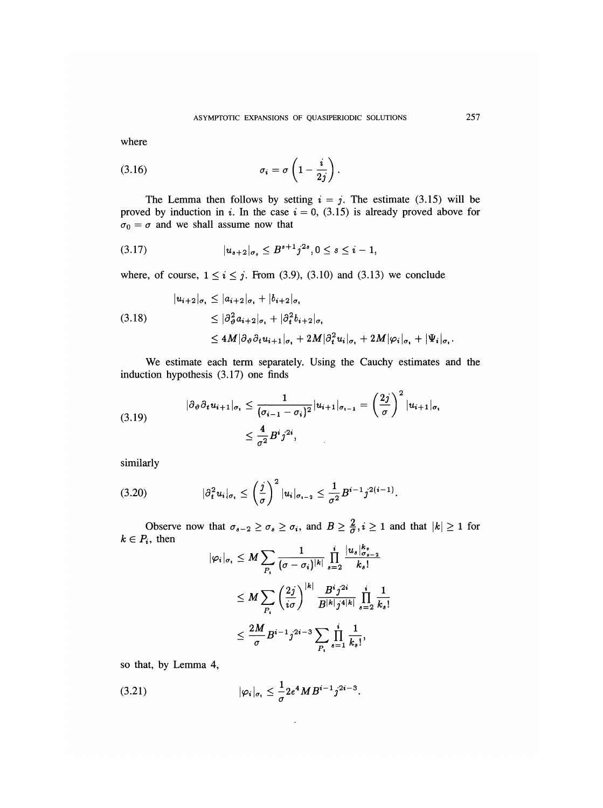where

$$
\sigma_i = \sigma \left(1 - \frac{i}{2j}\right).
$$

The Lemma then follows by setting  $i = j$ . The estimate (3.15) will be proved by induction in i. In the case  $i = 0$ , (3.15) is already proved above for  $\sigma_0 = \sigma$  and we shall assume now that

$$
(3.17) \t\t |u_{s+2}|_{\sigma_s} \leq B^{s+1} j^{2s}, 0 \leq s \leq i-1,
$$

where, of course,  $1 \le i \le j$ . From (3.9), (3.10) and (3.13) we conclude

$$
|u_{i+2}|_{\sigma_{i}} \leq |a_{i+2}|_{\sigma_{i}} + |b_{i+2}|_{\sigma_{i}}
$$
  
(3.18)  

$$
\leq |\partial_{\vartheta}^{2} a_{i+2}|_{\sigma_{i}} + |\partial_{t}^{2} b_{i+2}|_{\sigma_{i}}
$$
  

$$
\leq 4M |\partial_{\vartheta} \partial_{t} u_{i+1}|_{\sigma_{i}} + 2M |\partial_{t}^{2} u_{i}|_{\sigma_{i}} + 2M |\varphi_{i}|_{\sigma_{i}} + |\Psi_{i}|_{\sigma_{i}}.
$$

We estimate each term separately. Using the Cauchy estimates and the induction hypothesis (3.17) one finds

$$
(3.19) \quad |\partial_{\theta}\partial_{t}u_{i+1}|_{\sigma_{i}} \leq \frac{1}{(\sigma_{i-1}-\sigma_{i})^{2}}|u_{i+1}|_{\sigma_{i-1}} = \left(\frac{2j}{\sigma}\right)^{2}|u_{i+1}|_{\sigma_{i}}
$$
\n
$$
\leq \frac{4}{\sigma^{2}}B^{i}j^{2i},
$$

similarly

$$
(3.20) \t\t |\partial_t^2 u_i|_{\sigma_i} \leq \left(\frac{j}{\sigma}\right)^2 |u_i|_{\sigma_{i-2}} \leq \frac{1}{\sigma^2} B^{i-1} j^{2(i-1)}.
$$

Observe now that  $\sigma_{s-2} \ge \sigma_s \ge \sigma_i$ , and  $B \ge \frac{2}{\sigma}, i \ge 1$  and that  $|k| \ge 1$  for  $k \in P_i$ , then  $\mathbf{z} = \mathbf{z} + \mathbf{z}$ 

$$
\begin{aligned} |\varphi_i|_{\sigma_i} &\leq M \sum_{P_i} \frac{1}{(\sigma - \sigma_i)^{|k|}} \prod_{s=2}^i \frac{|u_s|_{\sigma_s - 2}^{\kappa_s}}{k_s!} \\ &\leq M \sum_{P_i} \left(\frac{2j}{i\sigma}\right)^{|k|} \frac{B^i j^{2i}}{B^{|k|} j^{4|k|}} \prod_{s=2}^i \frac{1}{k_s!} \\ &\leq \frac{2M}{\sigma} B^{i-1} j^{2i-3} \sum_{P_i} \prod_{s=1}^i \frac{1}{k_s!}, \end{aligned}
$$

 $\ddot{\phantom{a}}$ 

so that, by Lemma 4,

(3.21) 
$$
|\varphi_i|_{\sigma_1} \leq \frac{1}{\sigma} 2e^4 M B^{i-1} j^{2i-3}.
$$